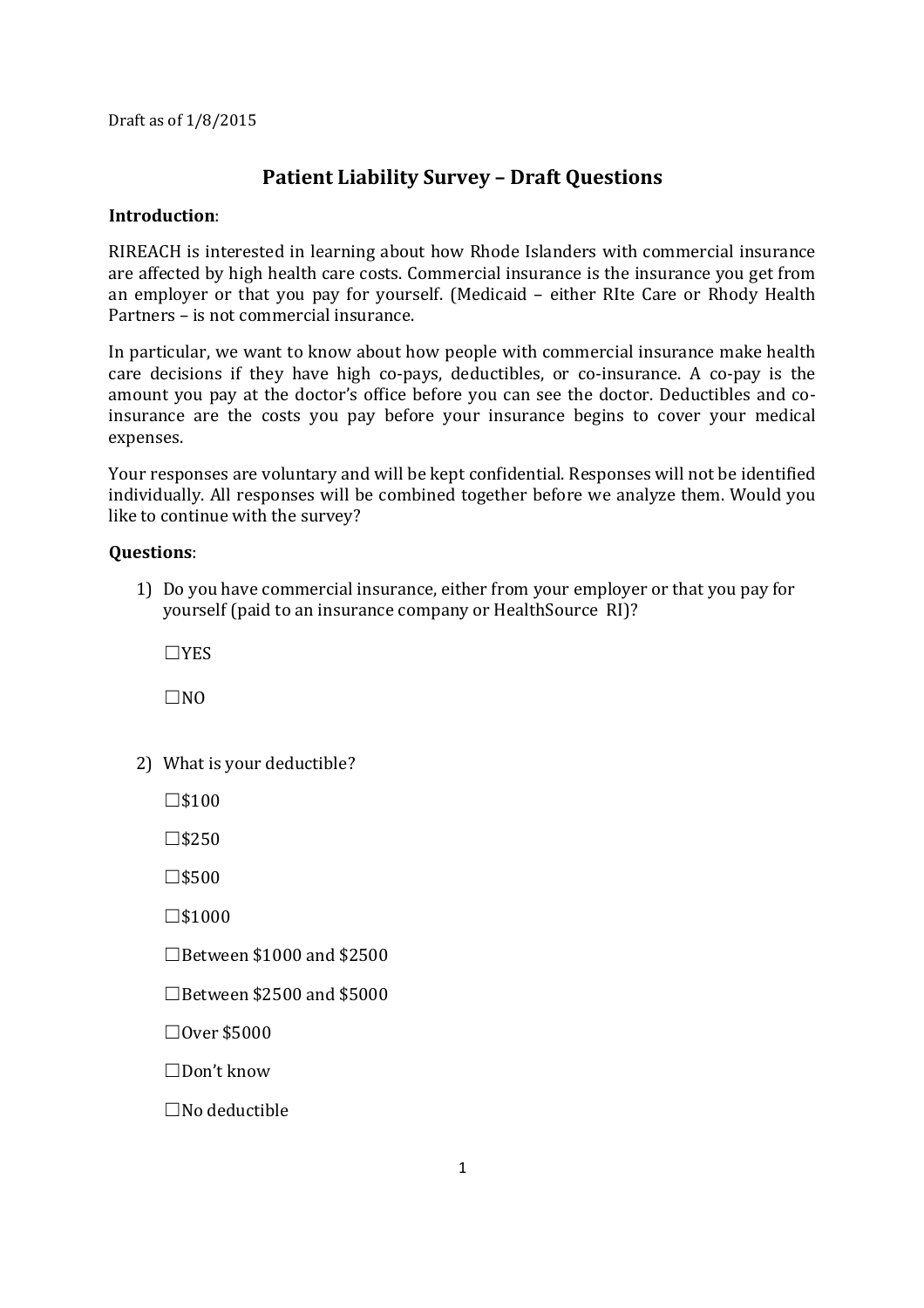Draft as of 1/8/2015

## **Patient Liability Survey – Draft Questions**

## **Introduction**:

RIREACH is interested in learning about how Rhode Islanders with commercial insurance are affected by high health care costs. Commercial insurance is the insurance you get from an employer or that you pay for yourself. (Medicaid – either RIte Care or Rhody Health Partners – is not commercial insurance.

In particular, we want to know about how people with commercial insurance make health care decisions if they have high co-pays, deductibles, or co-insurance. A co-pay is the amount you pay at the doctor's office before you can see the doctor. Deductibles and coinsurance are the costs you pay before your insurance begins to cover your medical expenses.

Your responses are voluntary and will be kept confidential. Responses will not be identified individually. All responses will be combined together before we analyze them. Would you like to continue with the survey?

## **Questions**:

1) Do you have commercial insurance, either from your employer or that you pay for yourself (paid to an insurance company or HealthSource RI)?

☐YES

 $\Box$ NO

2) What is your deductible?

 $\square$ \$100

 $\square$ \$250

☐\$500

 $\square$ \$1000

 $\Box$ Between \$1000 and \$2500

 $\Box$ Between \$2500 and \$5000

☐Over \$5000

☐Don't know

 $\Box$ No deductible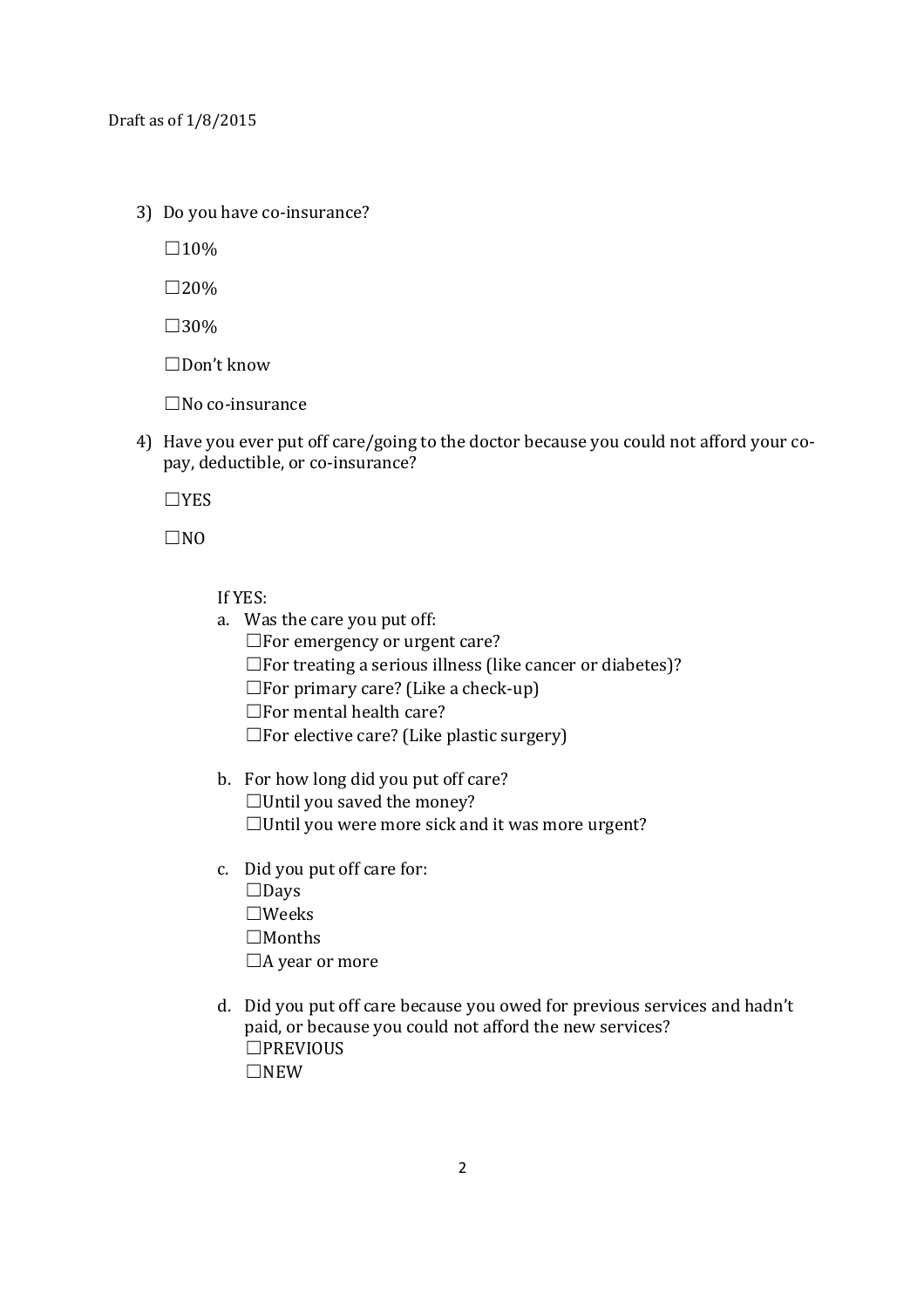3) Do you have co-insurance?

 $\square$ 10%

 $\square$ 20%

 $\square$ 30%

☐Don't know

☐No co-insurance

4) Have you ever put off care/going to the doctor because you could not afford your copay, deductible, or co-insurance?

☐YES

 $\square$ NO

If YES:

- a. Was the care you put off:
	- $\Box$  For emergency or urgent care?
	- ☐For treating a serious illness (like cancer or diabetes)?
	- $\square$  For primary care? (Like a check-up)
	- $\Box$  For mental health care?
	- $\square$  For elective care? (Like plastic surgery)
- b. For how long did you put off care?  $\Box$ Until you saved the money?  $\Box$ Until you were more sick and it was more urgent?
- c. Did you put off care for: ☐Days ☐Weeks  $\Box$ Months □A year or more
- d. Did you put off care because you owed for previous services and hadn't paid, or because you could not afford the new services? ☐PREVIOUS ☐NEW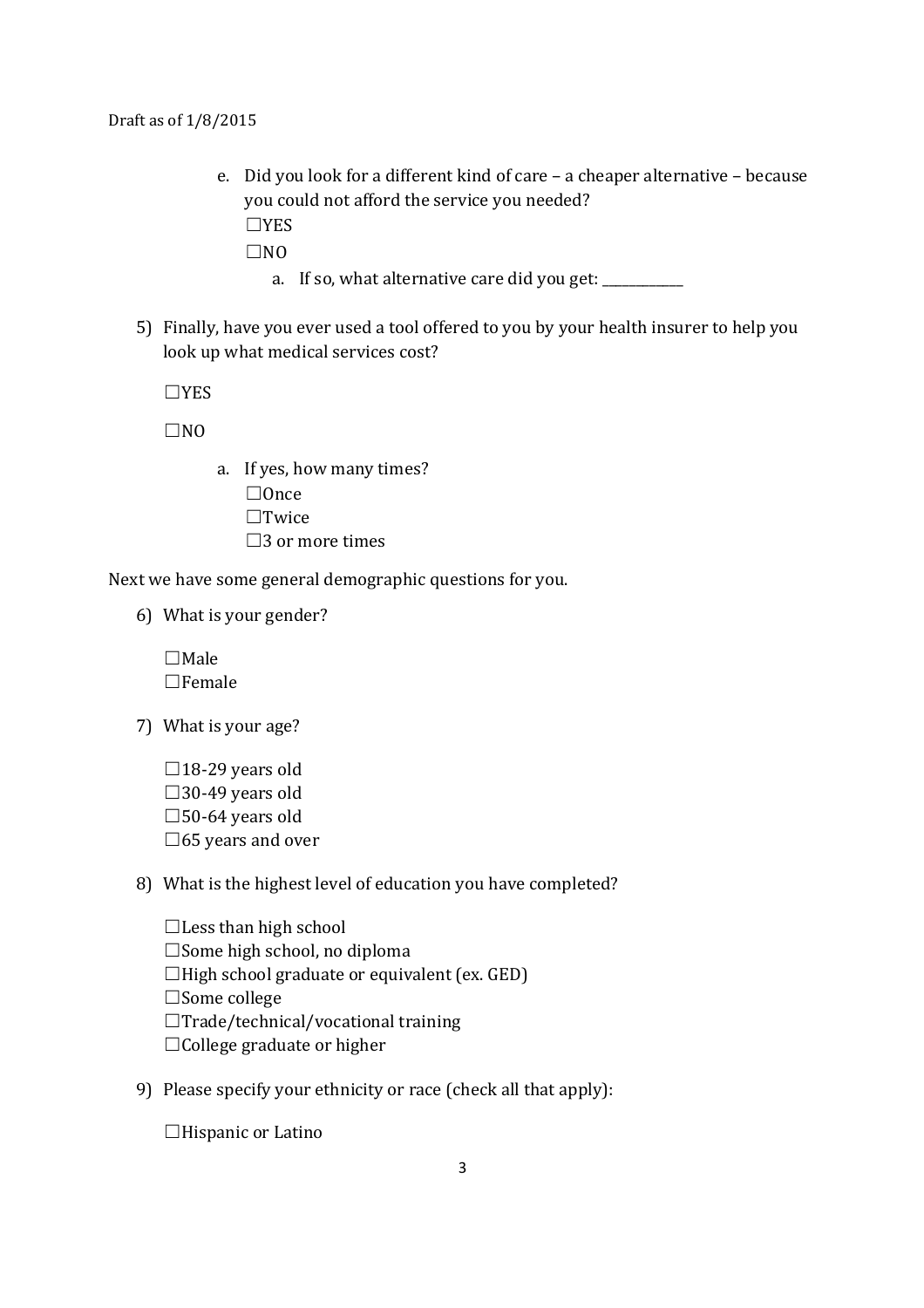Draft as of 1/8/2015

e. Did you look for a different kind of care – a cheaper alternative – because you could not afford the service you needed? ☐YES

 $\Box$ NO

- a. If so, what alternative care did you get: \_\_\_\_\_\_\_\_\_\_
- 5) Finally, have you ever used a tool offered to you by your health insurer to help you look up what medical services cost?

☐YES

 $\Box$ NO

- a. If yes, how many times?
	- $\Box$ Once
	- ☐Twice
	- $\square$ 3 or more times

Next we have some general demographic questions for you.

6) What is your gender?

 $\Box$ Male ☐Female

- 7) What is your age?
	- $\square$ 18-29 years old  $\square$ 30-49 years old  $\square$ 50-64 years old  $\square$ 65 years and over
- 8) What is the highest level of education you have completed?

 $\Box$  Less than high school ☐Some high school, no diploma ☐High school graduate or equivalent (ex. GED) ☐Some college  $\Box$ Trade/technical/vocational training  $\Box$ College graduate or higher

9) Please specify your ethnicity or race (check all that apply):

□Hispanic or Latino